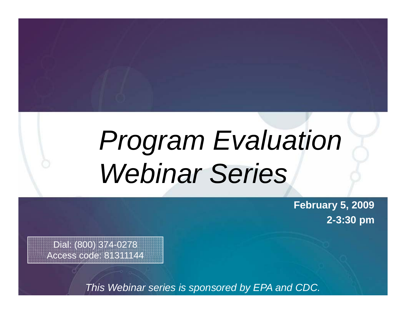# *Program Evaluation Webinar Series*

**February 5, 2009 2 -3 30 : pm**

Dial: (800) 374-0278 Access code: 81311144

*This Webinar series is sponsored by EPA and CDC.*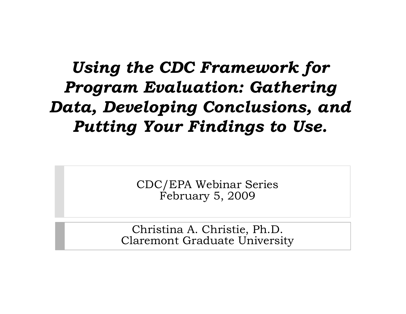## *Using the CDC Framework for Program Evaluation: Gathering Data, Developing Conclusions, and Putting Your Findings to Use.*

CDC/EPA Webinar Series February 5, 2009

Christina A. Christie, Ph.D. Claremont Graduate University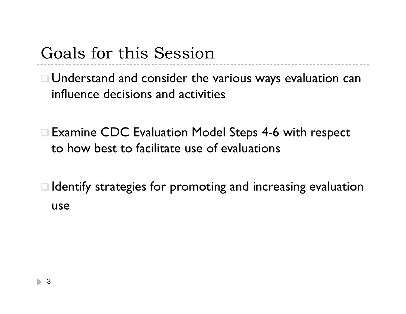### Goals for this Session

 Understand and consider the various ways evaluation can influence decisions and activities

□ Examine CDC Evaluation Model Steps 4-6 with respect to how best to facilitate use of evaluations

 $\Box$  Identify strategies for promoting and increasing evaluation use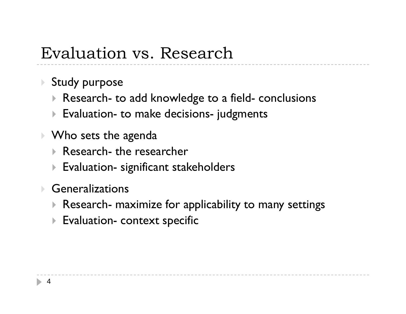### Evaluation vs. Research

- Study purpose
	- Research to add knowledge to a field - conclusions
	- $\blacktriangleright$  Evaluation- to make decisions- judgments
- $\blacktriangleright$   $\mathsf{W}$ ho sets the agenda
	- Research- the researcher
	- $\blacktriangleright$  Evaluation- significant stakeholders
- $\blacktriangleright$  Generalizations
	- $\blacktriangleright$  Research- maximize for applicability to many settings

--------------

 $\blacktriangleright$  Evaluation- context specific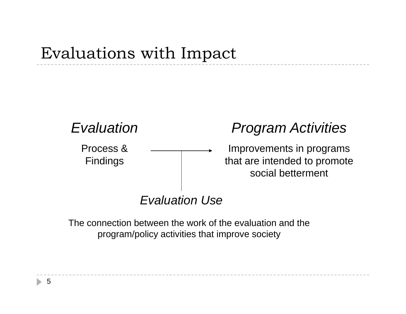### Evaluations with Impact



The connection between the work of the evaluation and the program/policy activities that improve society

5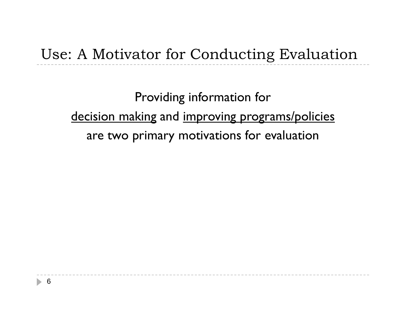### Use: A Motivator for Conducting Evaluation

Providing information for decision making and improving programs/policies are two primary motivations for evaluation

-------------------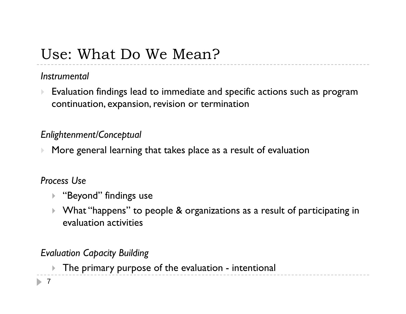### Use: What Do We Mean?

### *Instrumental*

 $\blacktriangleright$  Evaluation findings lead to immediate and specific actions such as program continuation, expansion, revision or termination

### *Enlightenment/Conceptual*

 $\blacktriangleright$ More general learning that takes place as a result of evaluation

### *Process Use*

- ▶ "Beyond" findings use
- $\blacktriangleright$  What "happens" to people & organizations as a result of participating in evaluation activities

### *Evaluation Capacity Building*

 $\blacktriangleright$  The primary purpose of the evaluation - intentional

 $\blacktriangleright$  7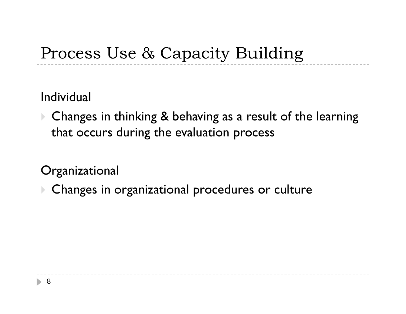## Process Use & Capacity Building

Individual

▶ Changes in thinking & behaving as a result of the learning that occurs during the evaluation process

----------------

**Organizational** 

Changes in organizational procedures or culture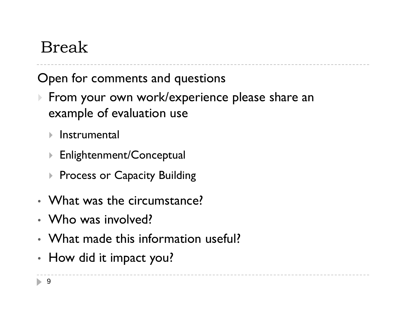## Break

Open for comments and questions

- From your own work/experience please share an example of evaluation use
	- **▶** Instrumental
	- $\blacktriangleright$  Enlightenment/Conceptual
	- $\blacktriangleright$ Process or Capacity Building
- What was the circumstance?
- Who was involved?
- What made this information useful?
- • $\cdot$  How did it impact you?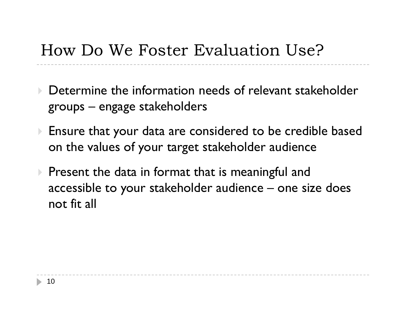### How Do We Foster Evaluation Use?

- $\blacktriangleright$  Determine the information needs of relevant stakeholder groups – engage stakeholders
- Ensure that your data are considered to be credible based on the values of your target stakeholder audience
- $\blacktriangleright$  Present the data in format that is meaningful and accessible to your stakeholder audience – one size does not fit all

------------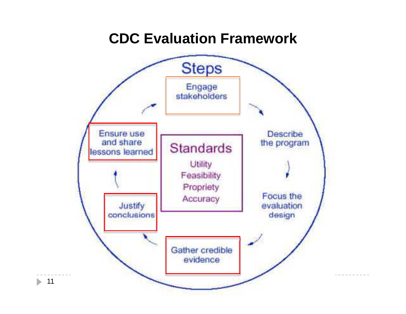### **CDC Evaluation Framework**

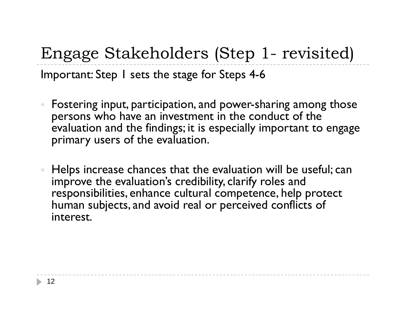Engage Stakeholders (Step 1 -- revisited) Important: Step 1 sets the stage for Steps 4-6

- $\blacksquare$  Fostering input, participation, and power-sharing among those persons who have an investment in the conduct of the evaluation and the findings; it is especially important to engage primary users of the evaluation.
- Helps increase chances that the evaluation will be useful; can improve the evaluation's credibility, clarify roles and responsibilities, enhance cultural competence, help protect human subjects, and avoid real or perceived conflicts of interest.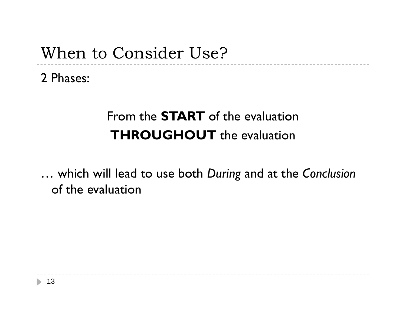### When to Consider Use?

2 Phases:

### From the **START** of the evaluation **THROUGHOUT** the evaluation

… which will lead to use both *During* and at the *Conclusion* of the evaluation

------------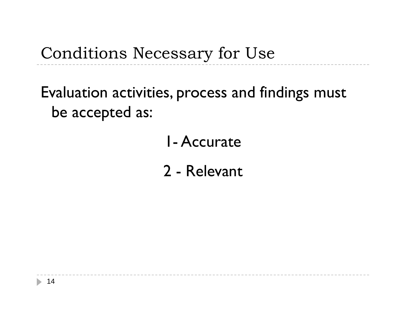## Conditions Necessary for Use

## Evaluation activities, process and findings must be accepted as:

## 1-Accurate

2 - Relevant

---------------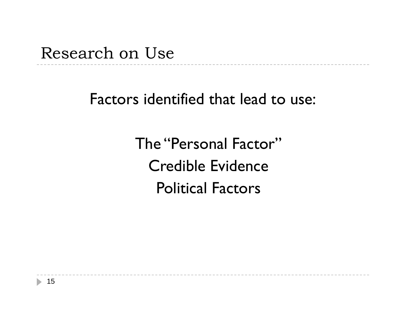Research on Use

Factors identified that lead to use:

The "Personal Factor"Credible EvidencePolitical Factors

 $\frac{1}{2}$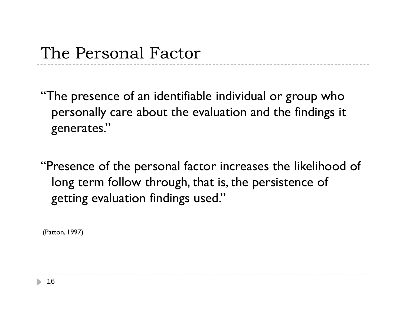"The presence of an identifiable individual or group who personally care about the evaluation and the findings it generates."

"Presence of the personal factor increases the likelihood of long term follow through, that is, the persistence of getting evaluation findings used."

------------

(Patton, 1997)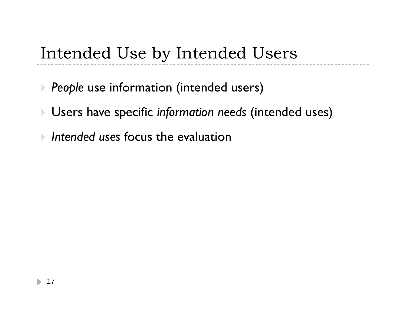## Intended Use by Intended Users

- *People* use information (intended users)
- Users have specific *information needs* (intended uses)

------------------------------

*Intended uses* focus the evaluation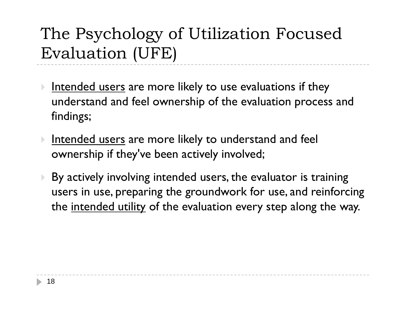## The Psychology of Utilization Focused Evaluation (UFE)

- $\blacktriangleright$ Intended users are more likely to use evaluations if they understand and feel ownership of the evaluation process and findings;
- $\blacktriangleright$   $\;$  <u>Intended users</u> are more likely to understand and feel ownership if they've been actively involved;
- $\blacktriangleright$  By actively involving intended users, the evaluator is training users in use, preparing the groundwork for use, and reinforcing the intended utility of the evaluation every step along the way.

---------------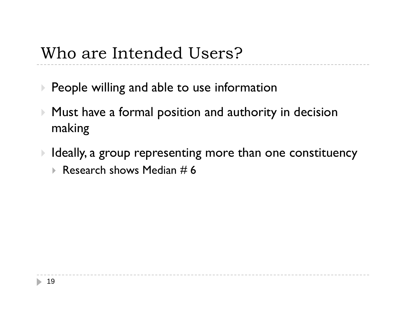### Who are Intended Users?

- $\blacktriangleright$  People willing and able to use information
- $\blacktriangleright$  Must have a formal position and authority in decision making
- $\blacktriangleright$  Ideally, a group representing more than one constituency  $\blacktriangleright$  Research shows Median # 6

----------------------------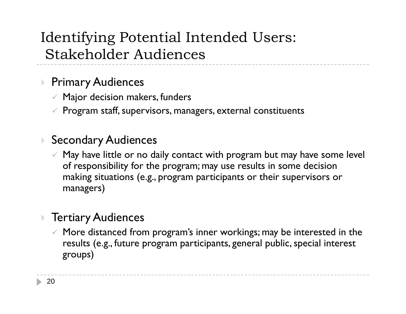### Identifying Potential Intended Users: Stakeholder Audiences

### $\blacktriangleright$  Primary Audiences

- $\mathscr V$  Major decision makers, funders
- $\mathscr V$  Program staff, supervisors, managers, external constituents

### ▶ Secondary Audiences

 $\checkmark$  May have little or no daily contact with program but may have some level  $\checkmark$ of responsibility for the program; may use results in some decision making situations (e.g., program participants or their supervisors or managers)

### Tertiary Audiences

 $\checkmark$  More distanced from program's inner workings; may be interested in the results (e.g., future program participants, general public, special interest groups)

--------------------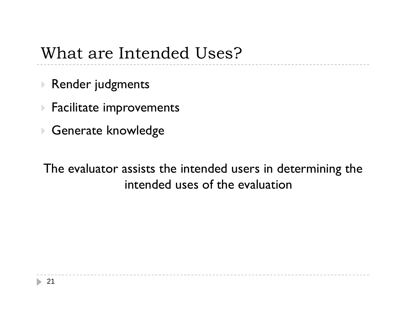### What are Intended Uses?

- Render judgments
- $\blacktriangleright$  Facilitate improvements
- ▶ Generate knowledge

The evaluator assists the intended users in determining the intended uses of the evaluation

------------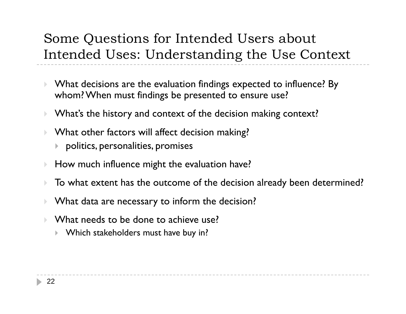### Some Questions for Intended Users about Intended Uses: Understanding the Use Context

- $\blacktriangleright$  What decisions are the evaluation findings expected to influence? By whom? When must findings be presented to ensure use?
- $\blacktriangleright$ What's the history and context of the decision making context?
- $\blacktriangleright$  $\blacktriangleright$   $\;$  What other factors will affect decision making?
	- $\blacktriangleright$  -politics, personalities, promises
- $\blacktriangleright$ How much influence might the evaluation have?
- $\blacktriangleright$ To what extent has the outcome of the decision already been determined?

--------------

- $\blacktriangleright$ What data are necessary to inform the decision?
- $\blacktriangleright$  $\blacktriangleright$  What needs to be done to achieve use?
	- Þ. Which stakeholders must have buy in?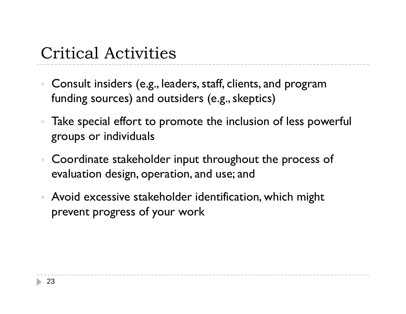## Critical Activities

- $\blacksquare$  Consult insiders (e.g., leaders, staff, clients, and program funding sources) and outsiders (e.g., skeptics)
- Take special effort to promote the inclusion of less powerful groups or individuals
- $\mathcal{L}_{\mathcal{A}}$  Coordinate stakeholder input throughout the process of evaluation design, operation, and use; and
- Avoid excessive stakeholder identification, which might prevent progress of your work

--------------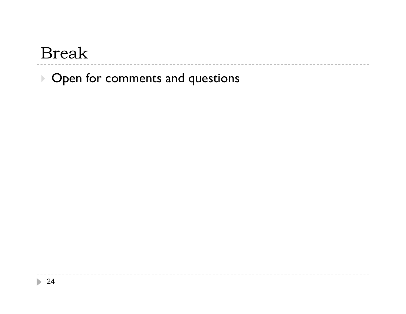### Break

▶ Open for comments and questions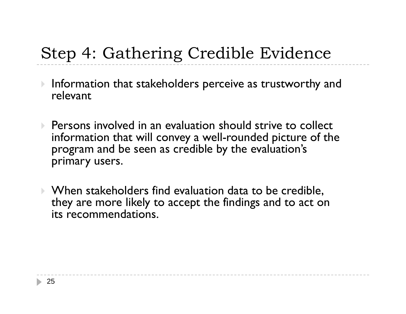## Step 4: Gathering Credible Evidence

- $\blacktriangleright$  Information that stakeholders perceive as trustworthy and relevant
- $\blacktriangleright$  Persons involved in an evaluation should strive to collect information that will convey a well -rounded picture of the program and be seen as credible by the evaluation's primary users.
- When stakeholders find evaluation data to be credible, they are more likely to accept the findings and to act on its recommendations.

-----------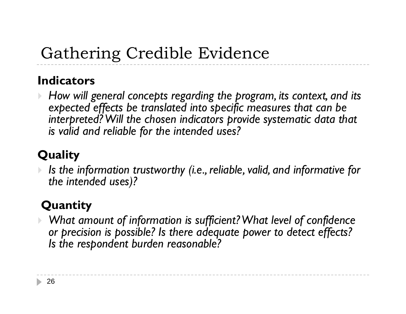## Gathering Credible Evidence

### **Indicators**

 $\blacktriangleright$ *How will general concepts regarding the program, its context, and its expected effects be translated into specific measures that can be interpreted? Will the chosen indicators provide systematic data that is valid and reliable for the intended uses?*

### **Quality**

 $\blacktriangleright$ 

 *Is the information trustworthy (i.e., reliable, valid, and informative for the intended uses)?*

### **Quantity**

 $\blacktriangleright$  What amount of information is sufficient? What level of confidence *or precision is possible? Is there adequate power to detect effects? Is the respondent burden reasonable?*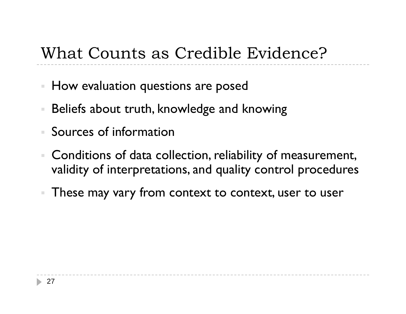## What Counts as Credible Evidence?

- $\mathcal{L}_{\mathcal{A}}$ How evaluation questions are posed
- Beliefs about truth, knowledge and knowing
- Sources of information
- Conditions of data collection, reliability of measurement, validity of interpretations, and quality control procedures

---------------

These may vary from context to context, user to user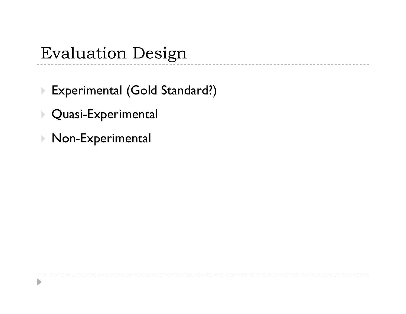## Evaluation Design

▶ Experimental (Gold Standard?)

 $\cdots \, - \, - \, - \, - \, -$ 

- $\blacktriangleright$  Quasi-Experimental
- ▶ Non-Experimental

 $\blacktriangleright$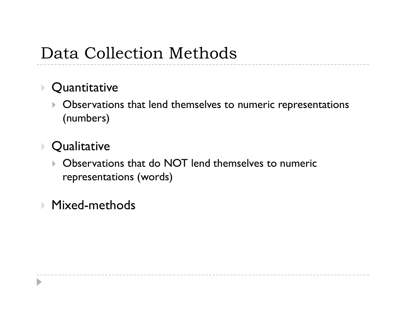### Data Collection Methods

#### $\blacktriangleright$ **Quantitative**

 Observations that lend themselves to numeric representations (numbers)

---------------

#### $\mathbf{F}$ **Qualitative**

D

 Observations that do NOT lend themselves to numeric representations (words)

### Mixed-methods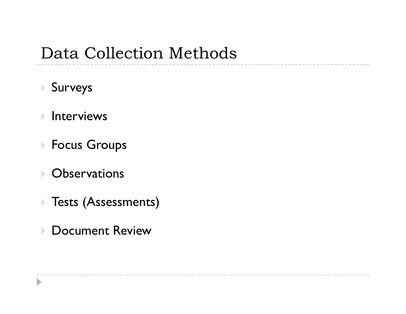### Data Collection Methods

- Surveys
- $\blacktriangleright$ Interviews
- Focus Groups
- Observations

 $\blacktriangleright$ 

- Tests (Assessments)
- ▶ Document Review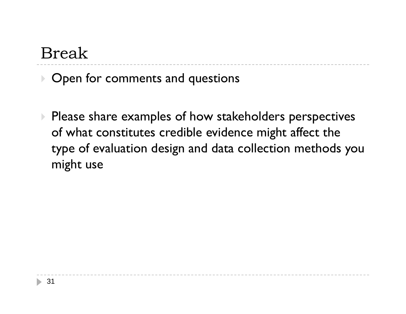## Break

▶ Open for comments and questions

**Please share examples of how stakeholders perspectives** of what constitutes credible evidence might affect the type of evaluation design and data collection methods you might use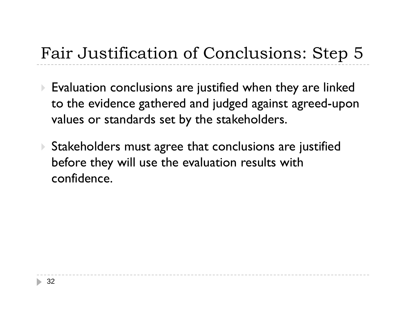## Fair Justification of Conclusions: Step 5

- $\blacktriangleright$  Evaluation conclusions are justified when they are linked to the evidence gathered and judged against agreed-upon values or standards set by the stakeholders.
- Stakeholders must agree that conclusions are justified before they will use the evaluation results with confidence.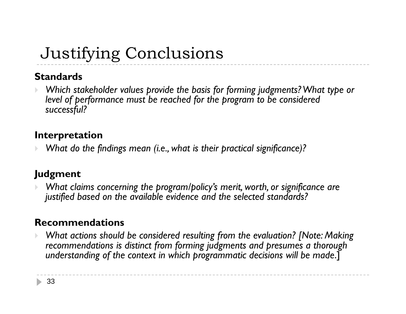## Justifying Conclusions

### **Standards**

 $\blacktriangleright$ *Which stakeholder values provide the basis for forming judgments? What type or* level of performance must be reached for the program to be considered *successful?*

### **Interpretation**

 $\blacktriangleright$ *What do the findings mean (i.e., what is their practical significance)?*

### **Judgment**

 $\blacktriangleright$  *What claims concerning the program/policy's merit, worth, or significance are justified based on the available evidence and the selected standards?*

### **Recommendations**

 $\blacktriangleright$  *What actions should be considered resulting from the evaluation? [Note: Making recommendations is distinct from forming judgments and presumes a thorough understanding of the context in which programmatic decisions will be made* ] .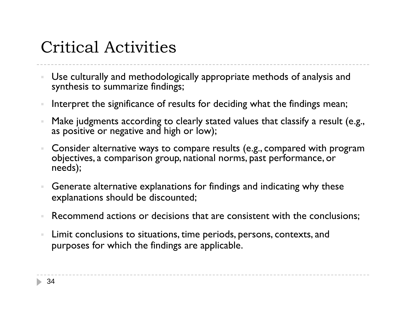### Critical Activities

- Use culturally and methodologically appropriate methods of analysis and synthesis to summarize findings;
- $\bar{a}$ Interpret the significance of results for deciding what the findings mean;
- $\bar{\alpha}$  Make judgments according to clearly stated values that classify a result (e.g., as positive or negative and high or low);
- Consider alternative ways to compare results (e.g., compared with program objectives, a comparison group, national norms, past performance, or needs);
- Generate alternative explanations for findings and indicating why these explanations should be discounted;
- Recommend actions or decisions that are consistent with the conclusions;

---------------------

 $\bar{a}$  Limit conclusions to situations, time periods, persons, contexts, and purposes for which the findings are applicable.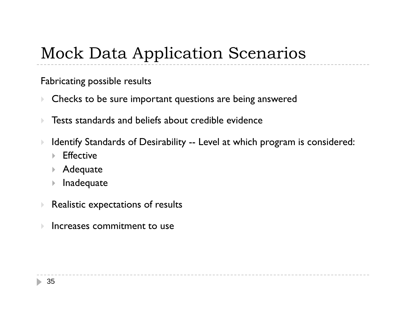## Mock Data Application Scenarios

Fabricating possible results

- $\blacktriangleright$  $\blacktriangleright$  Checks to be sure important questions are being answered
- $\blacktriangleright$ Tests standards and beliefs about credible evidence
- $\blacktriangleright$ Identify Standards of Desirability -- Level at which program is considered:

\_\_\_\_\_\_\_\_\_\_\_\_

----------------

- ▶ Effective
- Adequate
- $\mathbf{F}$  . Inadequate
- $\blacktriangleright$ Realistic expectations of results
- Increases commitment to use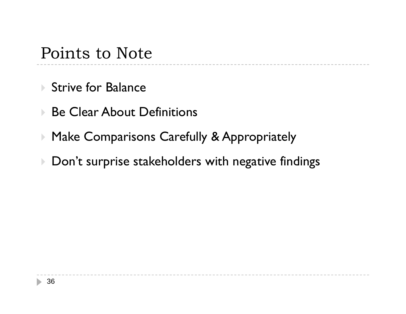### Points to Note

- ▶ Strive for Balance
- Be Clear About Definitions
- Make Comparisons Carefully & Appropriately
- $\blacktriangleright$  Don't surprise stakeholders with negative findings

-----------------------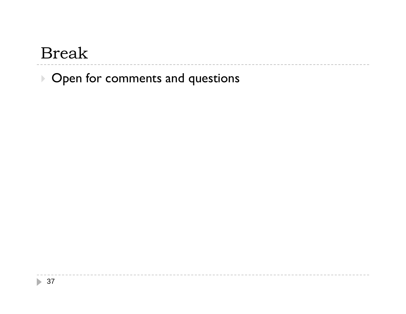### Break

▶ Open for comments and questions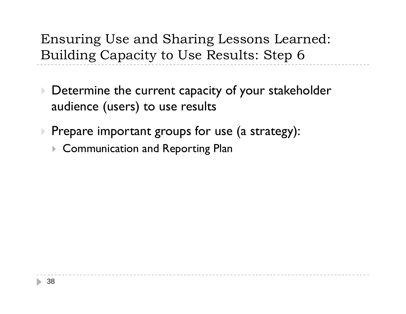Ensuring Use and Sharing Lessons Learned: Building Capacity to Use Results: Step 6

- $\blacktriangleright$  Determine the current capacity of your stakeholder audience (users) to use results
- ▶ Prepare important groups for use (a strategy):
	- Communication and Reporting Plan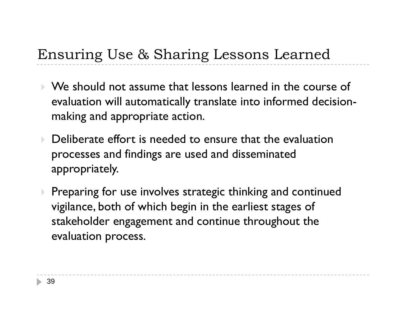### Ensuring Use & Sharing Lessons Learned

- We should not assume that lessons learned in the course of evaluation will automatically translate into informed decisionmaking and appropriate action.
- $\blacktriangleright$  Deliberate effort is needed to ensure that the evaluation processes and findings are used and disseminated appropriately.
- $\blacktriangleright$  Preparing for use involves strategic thinking and continued vigilance, both of which begin in the earliest stages of stakeholder engagement and continue throughout the evaluation process.

--------------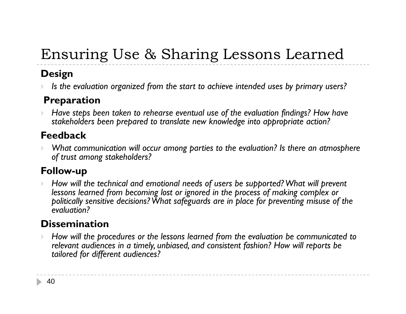## Ensuring Use & Sharing Lessons Learned

### **Design**

 $\blacktriangleright$ *Is the evaluation organized from the start to achieve intended uses by primary users?*

### **P ti reparation**

 $\blacktriangleright$  *Have steps been taken to rehearse eventual use of the evaluation findings? How have stakeholders been prepared to translate new knowledge into appropriate action?*

### **Feedback**

 $\blacktriangleright$  *What communication will occur among parties to the evaluation? Is there an atmosphere of trust among stakeholders?*

### **Follow-up**

 $\blacktriangleright$  *How will the technical and emotional needs of users be supported? What will prevent*  lessons learned from becoming lost or ignored in the process of making complex or *politically sensitive decisions? What safeguards are in place for preventing misuse of the evaluation?*

### **Dissemination**

 $\blacktriangleright$  *How will the procedures or the lessons learned from the evaluation be communicated to relevant audiences in a timely, unbiased, and consistent fashion? How will reports be tailored for different audiences?*

----------------------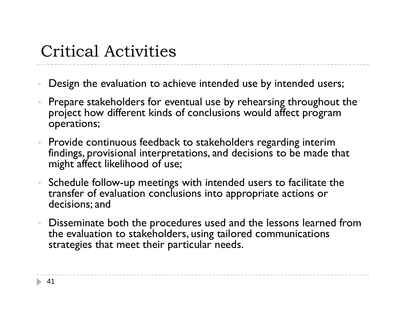## Critical Activities

- Design the evaluation to achieve intended use by intended users;
- Prepare stakeholders for eventual use by rehearsing throughout the project how different kinds of conclusions would affect program operations;
- Provide continuous feedback to stakeholders regarding interim findings, provisional interpretations, and decisions to be made that might affect likelihood of use;
- Schedule follow-up meetings with intended users to facilitate the transfer of evaluation conclusions into appropriate actions or decisions; and
- Disseminate both the procedures used and the lessons learned from the evaluation to stakeholders, using tailored communications strategies that meet their particular needs.

----------------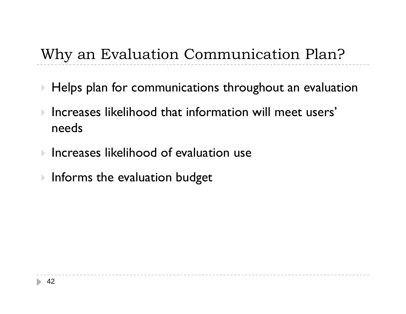### Why an Evaluation Communication Plan?

 $\blacktriangleright$  Helps plan for communications throughout an evaluation

------------------

- $\mathbf{p}_i$  Increases likelihood that information will meet users' needs
- $\mathbf{p}_i$ Increases likelihood of evaluation use
- $\blacktriangleright$  Informs the evaluation budget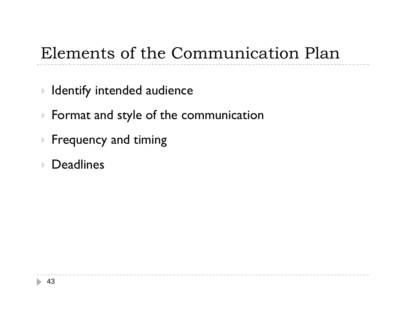## Elements of the Communication Plan

---------------

- $\blacktriangleright$  Identify intended audience
- $\blacktriangleright$  Format and style of the communication
- $\blacktriangleright$  Frequency and timing
- Deadlines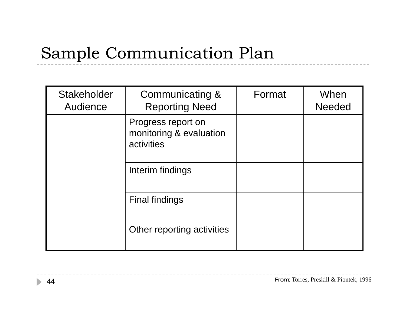## Sample Communication Plan

| <b>Stakeholder</b><br>Audience | Communicating &<br><b>Reporting Need</b>                    | Format | When<br><b>Needed</b> |
|--------------------------------|-------------------------------------------------------------|--------|-----------------------|
|                                | Progress report on<br>monitoring & evaluation<br>activities |        |                       |
|                                | Interim findings                                            |        |                       |
|                                | <b>Final findings</b>                                       |        |                       |
|                                | Other reporting activities                                  |        |                       |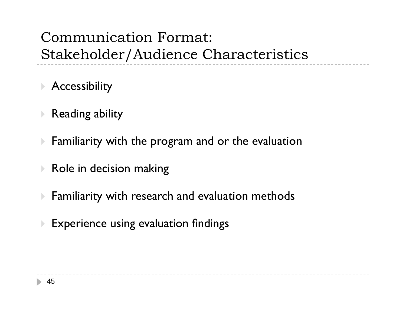### Communication Format: Stakeholder/Audience Characteristics

- Accessibility
- $\blacktriangleright$  Reading ability
- $\blacktriangleright$  $\blacktriangleright$  Familiarity with the program and or the evaluation
- $\blacktriangleright$  Role in decision making
- $\blacktriangleright$  Familiarity with research and evaluation methods

---------------

---------------------------

 $\blacktriangleright$ Experience using evaluation findings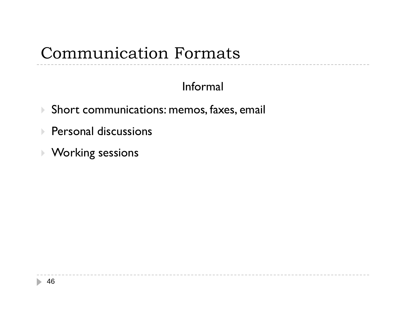### Communication Formats

### Informal

 $\begin{array}{cccccccccccccc} - & - & - & - & - & - \end{array}$ 

- $\blacktriangleright$  Short communications: memos, faxes, email
- $\blacktriangleright$  Personal discussions
- Working sessions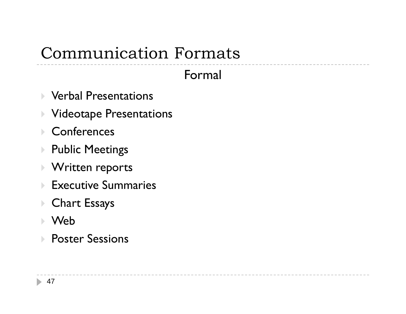## Communication Formats

Formal

 $\cdots\cdots\cdots\cdots$ 

- Verbal Presentations
- $\blacktriangleright$  Videotape Presentations
- $\mathbf{F}$ **Conferences**
- $\mathbf{F}$ Public Meetings
- $\mathbf{F}$ Written reports
- Executive Summaries
- Chart Essays
- Web
- $\mathbf{E}$ Poster Sessions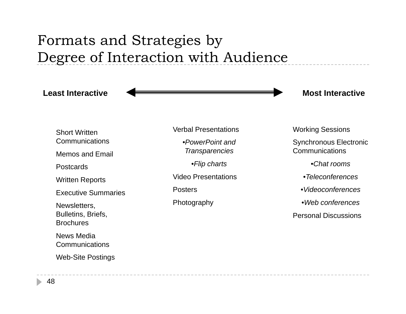### Formats and Strategies by Degree of Interaction with Audience

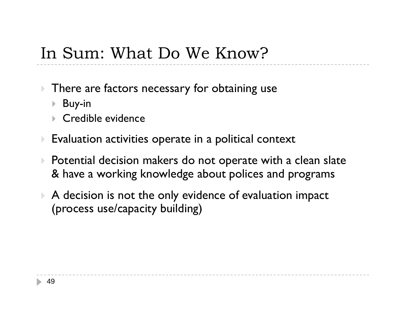### In Sum: What Do We Know?

- $\blacktriangleright$  There are factors necessary for obtaining use
	- Buy-in
	- ▶ Credible evidence
- $\blacktriangleright$  Evaluation activities operate in a political context
- $\blacktriangleright$  Potential decision makers do not operate with a clean slate & have a working knowledge about polices and programs

----------------

 $\blacktriangleright$  A decision is not the only evidence of evaluation impact (process use/capacity building)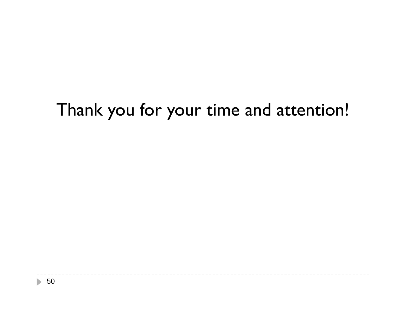## Thank you for your time and attention!

\_\_\_\_\_\_\_\_\_\_\_\_\_\_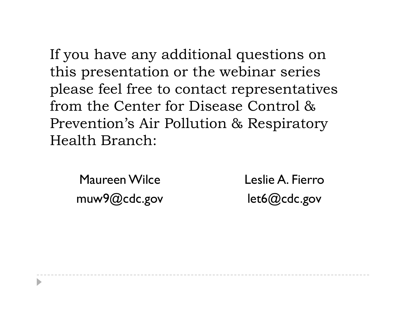If you have any additional questions on this presentation or the webinar series please feel free to contact representatives from the Center for Disease Control & Prevention's Air Pollution & Respiratory Health Branch:

Maureen Wilce Leslie A. Fi muw9@cdc.gov

 Lesli e A. Fierrolet6@cdc.gov